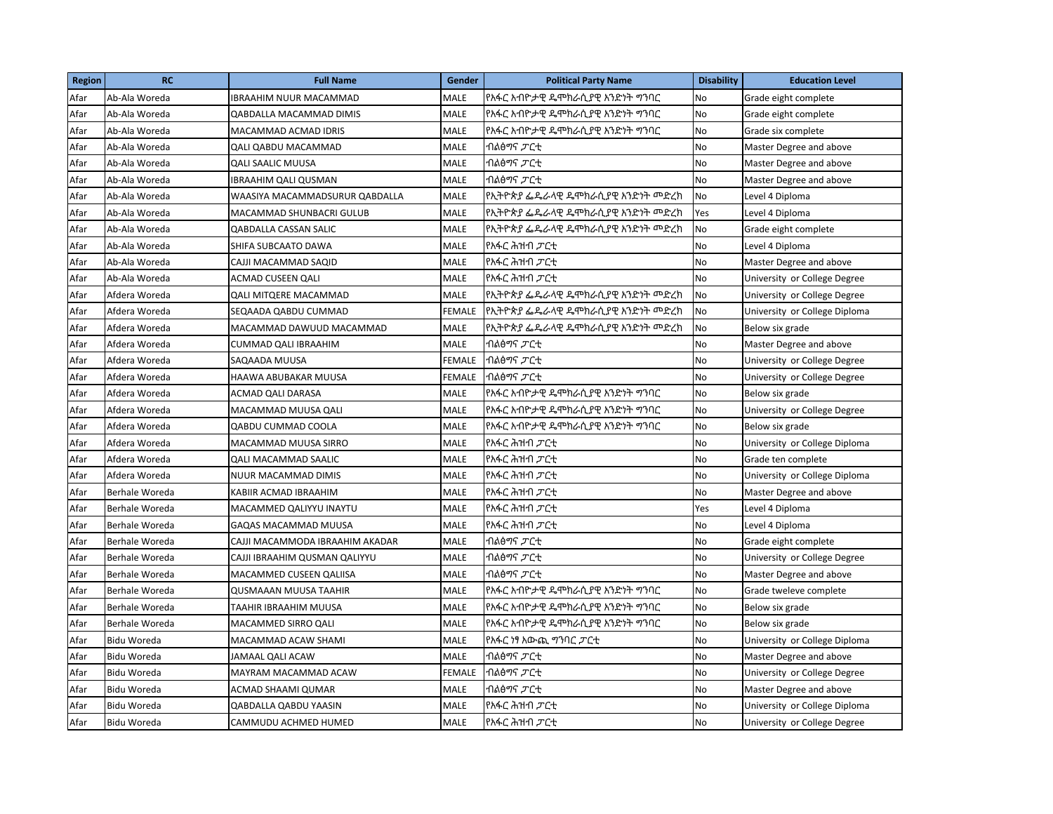| <b>Region</b> | <b>RC</b>          | <b>Full Name</b>                | <b>Gender</b> | <b>Political Party Name</b>     | <b>Disability</b> | <b>Education Level</b>        |
|---------------|--------------------|---------------------------------|---------------|---------------------------------|-------------------|-------------------------------|
| Afar          | Ab-Ala Woreda      | IBRAAHIM NUUR MACAMMAD          | MALE          | የአፋር አብዮታዊ ዴሞክራሲያዊ አንድነት ማንባር   | No                | Grade eight complete          |
| Afar          | Ab-Ala Woreda      | QABDALLA MACAMMAD DIMIS         | <b>MALE</b>   | የአፋር አብዮታዊ ዴሞክራሲያዊ አንድነት ግንባር   | No                | Grade eight complete          |
| Afar          | Ab-Ala Woreda      | MACAMMAD ACMAD IDRIS            | <b>MALE</b>   | የአፋር አብዮታዊ ዴሞክራሲያዊ አንድነት ማንባር   | No                | Grade six complete            |
| Afar          | Ab-Ala Woreda      | <b>QALI QABDU MACAMMAD</b>      | MALE          | ብልፅማና ፓርቲ                       | No                | Master Degree and above       |
| Afar          | Ab-Ala Woreda      | QALI SAALIC MUUSA               | <b>MALE</b>   | ብልፅማና <i>ፓ</i> ርቲ               | No                | Master Degree and above       |
| Afar          | Ab-Ala Woreda      | <b>IBRAAHIM QALI QUSMAN</b>     | MALE          | ብልፅማና <i>ፓ</i> ርቲ               | No                | Master Degree and above       |
| Afar          | Ab-Ala Woreda      | WAASIYA MACAMMADSURUR QABDALLA  | MALE          | የኢትዮጵያ ፌዴራላዊ ዴሞክራሲያዊ አንድነት መድረክ | No                | Level 4 Diploma               |
| Afar          | Ab-Ala Woreda      | MACAMMAD SHUNBACRI GULUB        | MALE          | የኢትዮጵያ ፌዴራላዊ ዴሞክራሲያዊ አንድነት መድረክ | Yes               | Level 4 Diploma               |
| Afar          | Ab-Ala Woreda      | <b>QABDALLA CASSAN SALIC</b>    | <b>MALE</b>   | የኢትዮጵያ ፌዴራላዊ ዴሞክራሲያዊ አንድነት መድረክ | No                | Grade eight complete          |
| Afar          | Ab-Ala Woreda      | SHIFA SUBCAATO DAWA             | <b>MALE</b>   | የአፋር ሕዝብ <i>ፓ</i> ርቲ            | No                | Level 4 Diploma               |
| Afar          | Ab-Ala Woreda      | CAJJI MACAMMAD SAQID            | MALE          | የአፋር ሕዝብ <i>ፓ</i> ርቲ            | No                | Master Degree and above       |
| Afar          | Ab-Ala Woreda      | ACMAD CUSEEN QALI               | MALE          | የአፋር ሕዝብ <i>ፓ</i> ርቲ            | No                | University or College Degree  |
| Afar          | Afdera Woreda      | QALI MITQERE MACAMMAD           | MALE          | የኢትዮጵያ ፌዴራላዊ ዴሞክራሲያዊ አንድነት መድረክ | No                | University or College Degree  |
| Afar          | Afdera Woreda      | SEQAADA QABDU CUMMAD            | <b>FEMALE</b> | የኢትዮጵያ ፌዴራላዊ ዴሞክራሲያዊ አንድነት መድረክ | No                | University or College Diploma |
| Afar          | Afdera Woreda      | MACAMMAD DAWUUD MACAMMAD        | MALE          | የኢትዮጵያ ፌዴራላዊ ዴሞክራሲያዊ አንድነት መድረክ | No                | Below six grade               |
| Afar          | Afdera Woreda      | CUMMAD QALI IBRAAHIM            | MALE          | ብልፅማና <i>ፓ</i> ርቲ               | No                | Master Degree and above       |
| Afar          | Afdera Woreda      | SAQAADA MUUSA                   | FEMALE        | ብልፅማና <i>ፓ</i> ርቲ               | No                | University or College Degree  |
| Afar          | Afdera Woreda      | HAAWA ABUBAKAR MUUSA            | FEMALE        | ብልፅማና <i>ፓ</i> ርቲ               | No                | University or College Degree  |
| Afar          | Afdera Woreda      | ACMAD QALI DARASA               | MALE          | የአፋር አብዮታዊ ዴሞክራሲያዊ አንድነት ግንባር   | No                | Below six grade               |
| Afar          | Afdera Woreda      | MACAMMAD MUUSA QALI             | MALE          | የአፋር አብዮታዊ ዴሞክራሲያዊ አንድነት ግንባር   | No                | University or College Degree  |
| Afar          | Afdera Woreda      | QABDU CUMMAD COOLA              | <b>MALE</b>   | የአፋር አብዮታዊ ዴሞክራሲያዊ አንድነት ማንባር   | No                | Below six grade               |
| Afar          | Afdera Woreda      | MACAMMAD MUUSA SIRRO            | MALE          | የአፋር ሕዝብ <i>ፓ</i> ርቲ            | No                | University or College Diploma |
| Afar          | Afdera Woreda      | QALI MACAMMAD SAALIC            | MALE          | የአፋር ሕዝብ <i>ፓር</i> ቲ            | No                | Grade ten complete            |
| Afar          | Afdera Woreda      | NUUR MACAMMAD DIMIS             | MALE          | የአፋር ሕዝብ <i>ፓ</i> ርቲ            | No                | University or College Diploma |
| Afar          | Berhale Woreda     | KABIIR ACMAD IBRAAHIM           | <b>MALE</b>   | የአፋር ሕዝብ <i>ፓ</i> ርቲ            | No                | Master Degree and above       |
| Afar          | Berhale Woreda     | MACAMMED QALIYYU INAYTU         | MALE          | የአፋር ሕዝብ <i>ፓ</i> ርቲ            | Yes               | Level 4 Diploma               |
| Afar          | Berhale Woreda     | <b>GAQAS MACAMMAD MUUSA</b>     | MALE          | የአፋር ሕዝብ <i>ፓ</i> ርቲ            | No                | Level 4 Diploma               |
| Afar          | Berhale Woreda     | CAJJI MACAMMODA IBRAAHIM AKADAR | MALE          | ብልፅማና <i>ፓ</i> ርቲ               | No                | Grade eight complete          |
| Afar          | Berhale Woreda     | CAJJI IBRAAHIM QUSMAN QALIYYU   | MALE          | ብልፅማና ፓርቲ                       | No                | University or College Degree  |
| Afar          | Berhale Woreda     | MACAMMED CUSEEN QALIISA         | MALE          | ብልፅማና <i>ፓ</i> ርቲ               | No                | Master Degree and above       |
| Afar          | Berhale Woreda     | QUSMAAAN MUUSA TAAHIR           | MALE          | የአፋር አብዮታዊ ዴሞክራሲያዊ አንድነት ግንባር   | No                | Grade tweleve complete        |
| Afar          | Berhale Woreda     | TAAHIR IBRAAHIM MUUSA           | MALE          | የአፋር አብዮታዊ ዴሞክራሲያዊ አንድነት ግንባር   | No                | Below six grade               |
| Afar          | Berhale Woreda     | MACAMMED SIRRO QALI             | <b>MALE</b>   | የአፋር አብዮታዊ ዴሞክራሲያዊ አንድነት ግንባር   | No                | Below six grade               |
| Afar          | <b>Bidu Woreda</b> | MACAMMAD ACAW SHAMI             | MALE          | የአፋር ነፃ አውጪ ማንባር <i>ፓ</i> ርቲ    | No                | University or College Diploma |
| Afar          | Bidu Woreda        | JAMAAL QALI ACAW                | MALE          | ብልፅማና ፓርቲ                       | No                | Master Degree and above       |
| Afar          | Bidu Woreda        | MAYRAM MACAMMAD ACAW            | FEMALE        | ብልፅማና ፓርቲ                       | No                | University or College Degree  |
| Afar          | <b>Bidu Woreda</b> | ACMAD SHAAMI QUMAR              | MALE          | ብልፅማና ፓርቲ                       | No                | Master Degree and above       |
| Afar          | Bidu Woreda        | QABDALLA QABDU YAASIN           | MALE          | የአፋር ሕዝብ <i>ፓ</i> ርቲ            | No                | University or College Diploma |
| Afar          | <b>Bidu Woreda</b> | CAMMUDU ACHMED HUMED            | MALE          | የአፋር ሕዝብ <i>ፓ</i> ርቲ            | No                | University or College Degree  |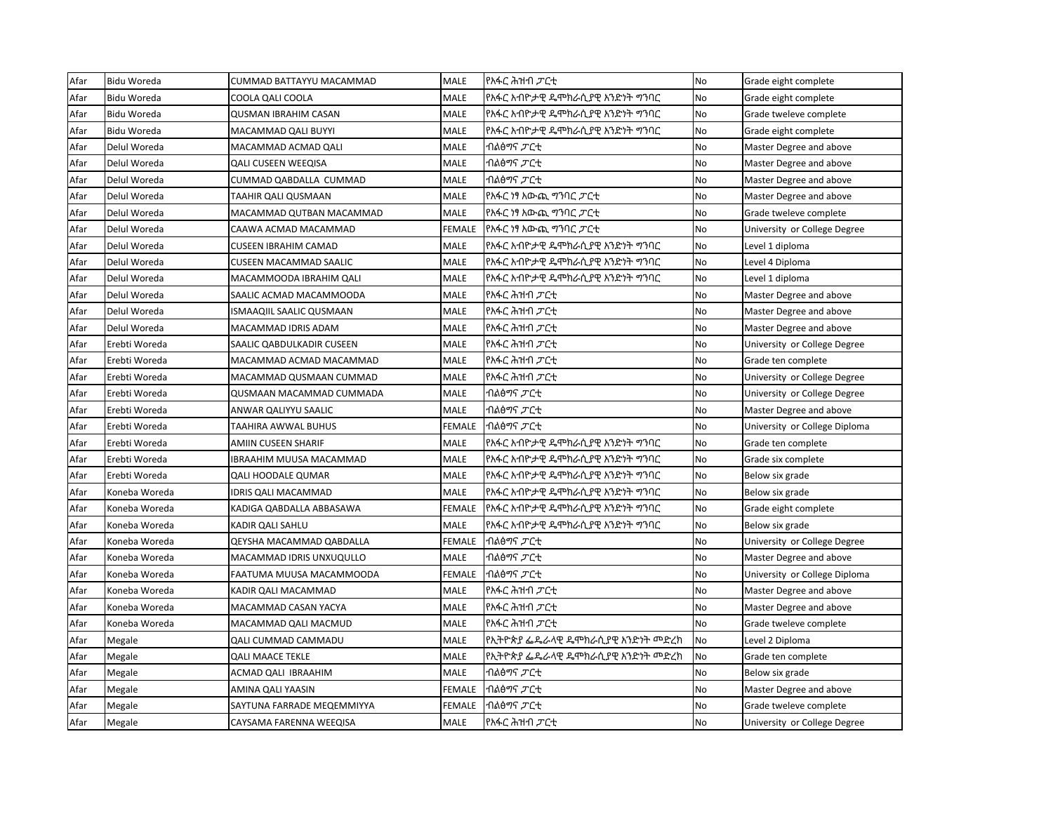| Afar | <b>Bidu Woreda</b> | CUMMAD BATTAYYU MACAMMAD    | MALE   | የአፋር ሕዝብ <i>ፓ</i> ርቲ            | No        | Grade eight complete          |
|------|--------------------|-----------------------------|--------|---------------------------------|-----------|-------------------------------|
| Afar | Bidu Woreda        | COOLA QALI COOLA            | MALE   | የአፋር አብዮታዊ ዴሞክራሲያዊ አንድነት ማንባር   | <b>No</b> | Grade eight complete          |
| Afar | <b>Bidu Woreda</b> | <b>QUSMAN IBRAHIM CASAN</b> | MALE   | የአፋር አብዮታዊ ዴሞክራሲያዊ አንድነት ማንባር   | No        | Grade tweleve complete        |
| Afar | <b>Bidu Woreda</b> | MACAMMAD QALI BUYYI         | MALE   | የአፋር አብዮታዊ ዴሞክራሲያዊ አንድነት ግንባር   | No        | Grade eight complete          |
| Afar | Delul Woreda       | MACAMMAD ACMAD QALI         | MALE   | ብልፅማና <i>ፓ</i> ርቲ               | No        | Master Degree and above       |
| Afar | Delul Woreda       | <b>QALI CUSEEN WEEQISA</b>  | MALE   | ብልፅማና <i>ፓ</i> ርቲ               | No        | Master Degree and above       |
| Afar | Delul Woreda       | CUMMAD QABDALLA CUMMAD      | MALE   | ብልፅማና <i>ፓ</i> ርቲ               | No        | Master Degree and above       |
| Afar | Delul Woreda       | TAAHIR QALI QUSMAAN         | MALE   | የአፋር ነፃ አውጪ ማባር <i>ፓ</i> ርቲ     | No        | Master Degree and above       |
| Afar | Delul Woreda       | MACAMMAD QUTBAN MACAMMAD    | MALE   | የአፋር ነፃ አውጪ ግንባር ፓርቲ            | No        | Grade tweleve complete        |
| Afar | Delul Woreda       | CAAWA ACMAD MACAMMAD        | FEMALE | የአፋር ነፃ አውጪ ማንባር <i>ፓ</i> ርቲ    | No        | University or College Degree  |
| Afar | Delul Woreda       | <b>CUSEEN IBRAHIM CAMAD</b> | MALE   | የአፋር አብዮታዊ ዴሞክራሲያዊ አንድነት ማንባር   | No        | Level 1 diploma               |
| Afar | Delul Woreda       | CUSEEN MACAMMAD SAALIC      | MALE   | የአፋር አብዮታዊ ዴሞክራሲያዊ አንድነት ግንባር   | No        | Level 4 Diploma               |
| Afar | Delul Woreda       | MACAMMOODA IBRAHIM QALI     | MALE   | የአፋር አብዮታዊ ዴሞክራሲያዊ አንድነት ግንባር   | No        | Level 1 diploma               |
| Afar | Delul Woreda       | SAALIC ACMAD MACAMMOODA     | MALE   | የአፋር ሕዝብ <i>ፓ</i> ርቲ            | No        | Master Degree and above       |
| Afar | Delul Woreda       | ISMAAQIIL SAALIC QUSMAAN    | MALE   | የአፋር ሕዝብ <i>ፓ</i> ርቲ            | No        | Master Degree and above       |
| Afar | Delul Woreda       | MACAMMAD IDRIS ADAM         | MALE   | የአፋር ሕዝብ <i>ፓር</i> ቲ            | No        | Master Degree and above       |
| Afar | Erebti Woreda      | SAALIC QABDULKADIR CUSEEN   | MALE   | የአፋር ሕዝብ <i>ፓ</i> ርቲ            | No        | University or College Degree  |
| Afar | Erebti Woreda      | MACAMMAD ACMAD MACAMMAD     | MALE   | የአፋር ሕዝብ <i>ፓ</i> ርቲ            | <b>No</b> | Grade ten complete            |
| Afar | Erebti Woreda      | MACAMMAD QUSMAAN CUMMAD     | MALE   | የአፋር ሕዝብ <i>ፓ</i> ርቲ            | No        | University or College Degree  |
| Afar | Erebti Woreda      | QUSMAAN MACAMMAD CUMMADA    | MALE   | ብልፅማና <i>ፓ</i> ርቲ               | No        | University or College Degree  |
| Afar | Erebti Woreda      | ANWAR QALIYYU SAALIC        | MALE   | ብልፅማና <i>ፓ</i> ርቲ               | No        | Master Degree and above       |
| Afar | Erebti Woreda      | TAAHIRA AWWAL BUHUS         | FEMALE | ብልፅማና <i>ፓ</i> ርቲ               | No        | University or College Diploma |
| Afar | Erebti Woreda      | AMIIN CUSEEN SHARIF         | MALE   | የአፋር አብዮታዊ ዴሞክራሲያዊ አንድነት ማንባር   | No        | Grade ten complete            |
| Afar | Erebti Woreda      | IBRAAHIM MUUSA MACAMMAD     | MALE   | የአፋር አብዮታዊ ዴሞክራሲያዊ አንድነት ግንባር   | No        | Grade six complete            |
| Afar | Erebti Woreda      | QALI HOODALE QUMAR          | MALE   | የአፋር አብዮታዊ ዴሞክራሲያዊ አንድነት ግንባር   | No        | Below six grade               |
| Afar | Koneba Woreda      | <b>IDRIS QALI MACAMMAD</b>  | MALE   | የአፋር አብዮታዊ ዴሞክራሲያዊ አንድነት ግንባር   | No        | Below six grade               |
| Afar | Koneba Woreda      | KADIGA QABDALLA ABBASAWA    | FEMALE | የአፋር አብዮታዊ ዴሞክራሲያዊ አንድነት ማንባር   | No        | Grade eight complete          |
| Afar | Koneba Woreda      | KADIR QALI SAHLU            | MALE   | የአፋር አብዮታዊ ዴሞክራሲያዊ አንድነት ግንባር   | No        | Below six grade               |
| Afar | Koneba Woreda      | QEYSHA MACAMMAD QABDALLA    | FEMALE | ብልፅማና <i>ፓ</i> ርቲ               | No        | University or College Degree  |
| Afar | Koneba Woreda      | MACAMMAD IDRIS UNXUQULLO    | MALE   | ብልፅማና <i>ፓ</i> ርቲ               | No        | Master Degree and above       |
| Afar | Koneba Woreda      | FAATUMA MUUSA MACAMMOODA    | FEMALE | ብልፅማና <i>ፓ</i> ርቲ               | No        | University or College Diploma |
| Afar | Koneba Woreda      | KADIR QALI MACAMMAD         | MALE   | የአፋር ሕዝብ <i>ፓ</i> ርቲ            | No        | Master Degree and above       |
| Afar | Koneba Woreda      | MACAMMAD CASAN YACYA        | MALE   | የአፋር ሕዝብ <i>ፓ</i> ርቲ            | No        | Master Degree and above       |
| Afar | Koneba Woreda      | MACAMMAD QALI MACMUD        | MALE   | የአፋር ሕዝብ <i>ፓ</i> ርቲ            | No        | Grade tweleve complete        |
| Afar | Megale             | QALI CUMMAD CAMMADU         | MALE   | የኢትዮጵያ ፌዴራላዊ ዴሞክራሲያዊ አንድነት መድረክ | No        | Level 2 Diploma               |
| Afar | Megale             | <b>QALI MAACE TEKLE</b>     | MALE   | የኢትዮጵያ ፌዴራላዊ ዴሞክራሲያዊ አንድነት መድረክ | No        | Grade ten complete            |
| Afar | Megale             | ACMAD QALI IBRAAHIM         | MALE   | ብልፅማና <i>ፓ</i> ርቲ               | No        | Below six grade               |
| Afar | Megale             | AMINA QALI YAASIN           | FEMALE | ብልፅማና <i>ፓ</i> ርቲ               | No        | Master Degree and above       |
| Afar | Megale             | SAYTUNA FARRADE MEQEMMIYYA  | FEMALE | ብልፅማና <i>ፓ</i> ርቲ               | No        | Grade tweleve complete        |
| Afar | Megale             | CAYSAMA FARENNA WEEQISA     | MALE   | የአፋር ሕዝብ <i>ፓ</i> ርቲ            | No        | University or College Degree  |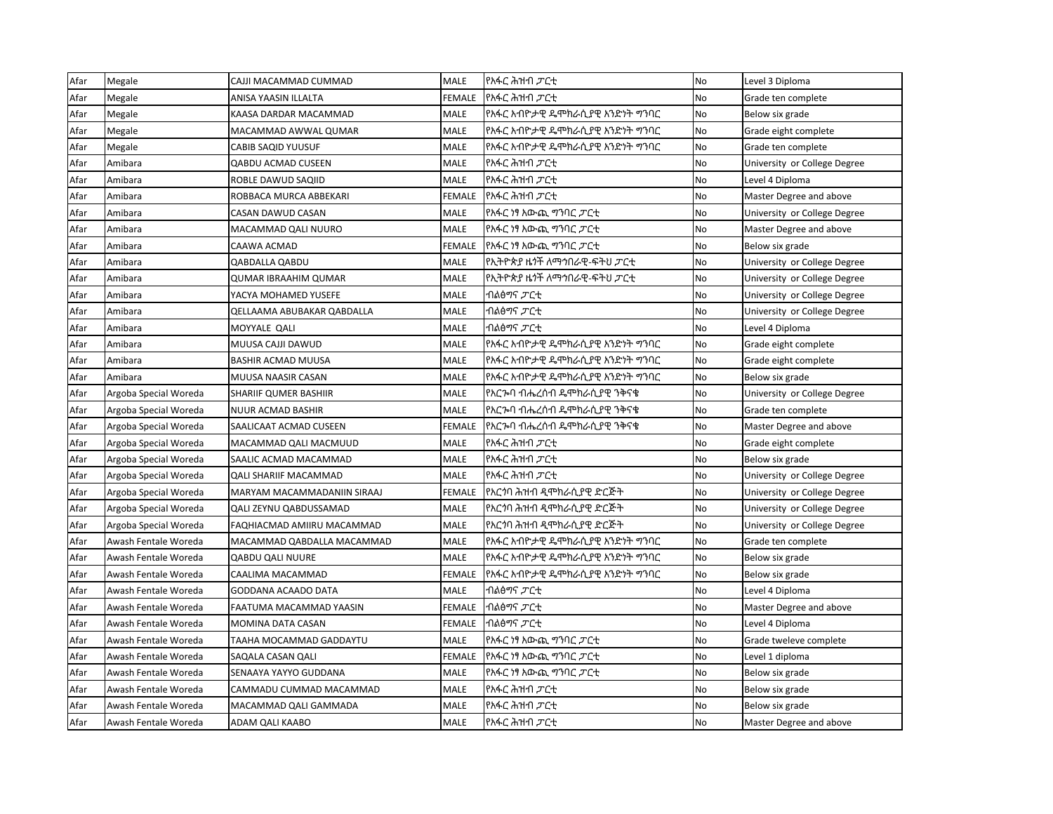| Afar | Megale                | CAJJI MACAMMAD CUMMAD        | <b>MALE</b>   | የአፋር ሕዝብ <i>ፓ</i> ርቲ                       | <b>No</b> | Level 3 Diploma              |
|------|-----------------------|------------------------------|---------------|--------------------------------------------|-----------|------------------------------|
| Afar | Megale                | ANISA YAASIN ILLALTA         | <b>FEMALE</b> | የአፋር ሕዝብ <i>ፓ</i> ርቲ                       | <b>No</b> | Grade ten complete           |
| Afar | Megale                | KAASA DARDAR MACAMMAD        | <b>MALE</b>   | የአፋር አብዮታዊ ዴሞክራሲያዊ አንድነት ግንባር              | <b>No</b> | Below six grade              |
| Afar | Megale                | MACAMMAD AWWAL QUMAR         | <b>MALE</b>   | የአፋር አብዮታዊ ዴሞክራሲያዊ አንድነት ግንባር              | No        | Grade eight complete         |
| Afar | Megale                | CABIB SAQID YUUSUF           | MALE          | የአፋር አብዮታዊ ዴሞክራሲያዊ አንድነት ማንባር              | <b>No</b> | Grade ten complete           |
| Afar | Amibara               | <b>QABDU ACMAD CUSEEN</b>    | <b>MALE</b>   | የአፋር ሕዝብ <i>ፓ</i> ርቲ                       | <b>No</b> | University or College Degree |
| Afar | Amibara               | ROBLE DAWUD SAQIID           | MALE          | የአፋር ሕዝብ <i>ፓ</i> ርቲ                       | No        | Level 4 Diploma              |
| Afar | Amibara               | ROBBACA MURCA ABBEKARI       | FEMALE        | የአፋር ሕዝብ <i>ፓ</i> ርቲ                       | <b>No</b> | Master Degree and above      |
| Afar | Amibara               | CASAN DAWUD CASAN            | MALE          | የአፋር ነፃ አውጪ ማንባር <i>ፓ</i> ርቲ               | No        | University or College Degree |
| Afar | Amibara               | MACAMMAD QALI NUURO          | <b>MALE</b>   | የአፋር ነፃ አውጪ ማባር <i>ፓ</i> ርቲ                | <b>No</b> | Master Degree and above      |
| Afar | Amibara               | CAAWA ACMAD                  | FEMALE        | የአፋር ነፃ አውጪ ማንባር <i>ፓ</i> ርቲ               | No        | Below six grade              |
| Afar | Amibara               | <b>QABDALLA QABDU</b>        | <b>MALE</b>   | የኢትዮጵያ ዜ <i>ጎ</i> ች ለማኅበራዊ-ፍትህ <i>ፓር</i> ቲ | <b>No</b> | University or College Degree |
| Afar | Amibara               | <b>QUMAR IBRAAHIM QUMAR</b>  | <b>MALE</b>   | የኢትዮጵያ ዜጎች ለማኅበራዊ-ፍትህ <i>ፓ</i> ርቲ          | No        | University or College Degree |
| Afar | Amibara               | YACYA MOHAMED YUSEFE         | <b>MALE</b>   | ብልፅማና <i>ፓ</i> ርቲ                          | <b>No</b> | University or College Degree |
| Afar | Amibara               | QELLAAMA ABUBAKAR QABDALLA   | <b>MALE</b>   | ብልፅማና <i>ፓ</i> ርቲ                          | No        | University or College Degree |
| Afar | Amibara               | MOYYALE QALI                 | MALE          | ብልፅማና <i>ፓ</i> ርቲ                          | No        | Level 4 Diploma              |
| Afar | Amibara               | MUUSA CAJJI DAWUD            | MALE          | የአፋር አብዮታዊ ዴሞክራሲያዊ አንድነት ግንባር              | <b>No</b> | Grade eight complete         |
| Afar | Amibara               | <b>BASHIR ACMAD MUUSA</b>    | <b>MALE</b>   | የአፋር አብዮታዊ ዴሞክራሲያዊ አንድነት ግንባር              | <b>No</b> | Grade eight complete         |
| Afar | Amibara               | MUUSA NAASIR CASAN           | <b>MALE</b>   | የአፋር አብዮታዊ ዴሞክራሲያዊ አንድነት ግንባር              | No        | Below six grade              |
| Afar | Argoba Special Woreda | <b>SHARIIF QUMER BASHIIR</b> | MALE          | የአርኈባ ብሔረሰብ ዴሞክራሲያዊ ንቅናቄ                   | <b>No</b> | University or College Degree |
| Afar | Argoba Special Woreda | NUUR ACMAD BASHIR            | MALE          | የአርኈባ ብሔረሰብ ዴሞክራሲያዊ ንቅናቄ                   | <b>No</b> | Grade ten complete           |
| Afar | Argoba Special Woreda | SAALICAAT ACMAD CUSEEN       | <b>FEMALE</b> | የአርኈባ ብሔረሰብ ዴሞክራሲያዊ ንቅናቄ                   | <b>No</b> | Master Degree and above      |
| Afar | Argoba Special Woreda | MACAMMAD QALI MACMUUD        | <b>MALE</b>   | የአፋር ሕዝብ <i>ፓ</i> ርቲ                       | No        | Grade eight complete         |
| Afar | Argoba Special Woreda | SAALIC ACMAD MACAMMAD        | MALE          | የአፋር ሕዝብ <i>ፓ</i> ርቲ                       | No        | Below six grade              |
| Afar | Argoba Special Woreda | <b>QALI SHARIIF MACAMMAD</b> | MALE          | የአፋር ሕዝብ <i>ፓ</i> ርቲ                       | <b>No</b> | University or College Degree |
| Afar | Argoba Special Woreda | MARYAM MACAMMADANIIN SIRAAJ  | <b>FEMALE</b> | የአርጎባ ሕዝብ ዲሞክራሲያዊ ድርጅት                     | <b>No</b> | University or College Degree |
| Afar | Argoba Special Woreda | QALI ZEYNU QABDUSSAMAD       | MALE          | የአርጎባ ሕዝብ ዲሞክራሲያዊ ድርጅት                     | No        | University or College Degree |
| Afar | Argoba Special Woreda | FAQHIACMAD AMIIRU MACAMMAD   | <b>MALE</b>   | የአርጎባ ሕዝብ ዲሞክራሲያዊ ድርጅት                     | <b>No</b> | University or College Degree |
| Afar | Awash Fentale Woreda  | MACAMMAD QABDALLA MACAMMAD   | <b>MALE</b>   | የአፋር አብዮታዊ ዴሞክራሲያዊ አንድነት ግንባር              | <b>No</b> | Grade ten complete           |
| Afar | Awash Fentale Woreda  | <b>QABDU QALI NUURE</b>      | <b>MALE</b>   | የአፋር አብዮታዊ ዴሞክራሲያዊ አንድነት ግንባር              | No        | Below six grade              |
| Afar | Awash Fentale Woreda  | CAALIMA MACAMMAD             | FEMALE        | የአፋር አብዮታዊ ዴሞክራሲያዊ አንድነት ግንባር              | No        | Below six grade              |
| Afar | Awash Fentale Woreda  | GODDANA ACAADO DATA          | MALE          | ብልፅማና <i>ፓ</i> ርቲ                          | No        | Level 4 Diploma              |
| Afar | Awash Fentale Woreda  | FAATUMA MACAMMAD YAASIN      | FEMALE        | ብልፅማና <i>ፓ</i> ርቲ                          | No        | Master Degree and above      |
| Afar | Awash Fentale Woreda  | MOMINA DATA CASAN            | FEMALE        | ብልፅማና <i>ፓ</i> ርቲ                          | <b>No</b> | Level 4 Diploma              |
| Afar | Awash Fentale Woreda  | TAAHA MOCAMMAD GADDAYTU      | MALE          | የአፋር ነፃ አውጪ ማባር ፓርቲ                        | No        | Grade tweleve complete       |
| Afar | Awash Fentale Woreda  | SAQALA CASAN QALI            | <b>FEMALE</b> | የአፋር ነፃ አውጪ ግንባር ፓርቲ                       | No        | Level 1 diploma              |
| Afar | Awash Fentale Woreda  | SENAAYA YAYYO GUDDANA        | MALE          | የአፋር ነፃ አውጪ ማንባር <i>ፓ</i> ርቲ               | <b>No</b> | Below six grade              |
| Afar | Awash Fentale Woreda  | CAMMADU CUMMAD MACAMMAD      | <b>MALE</b>   | የአፋር ሕዝብ <i>ፓ</i> ርቲ                       | No        | Below six grade              |
| Afar | Awash Fentale Woreda  | MACAMMAD QALI GAMMADA        | MALE          | የአፋር ሕዝብ <i>ፓ</i> ርቲ                       | No        | Below six grade              |
| Afar | Awash Fentale Woreda  | ADAM QALI KAABO              | MALE          | የአፋር ሕዝብ <i>ፓ</i> ርቲ                       | <b>No</b> | Master Degree and above      |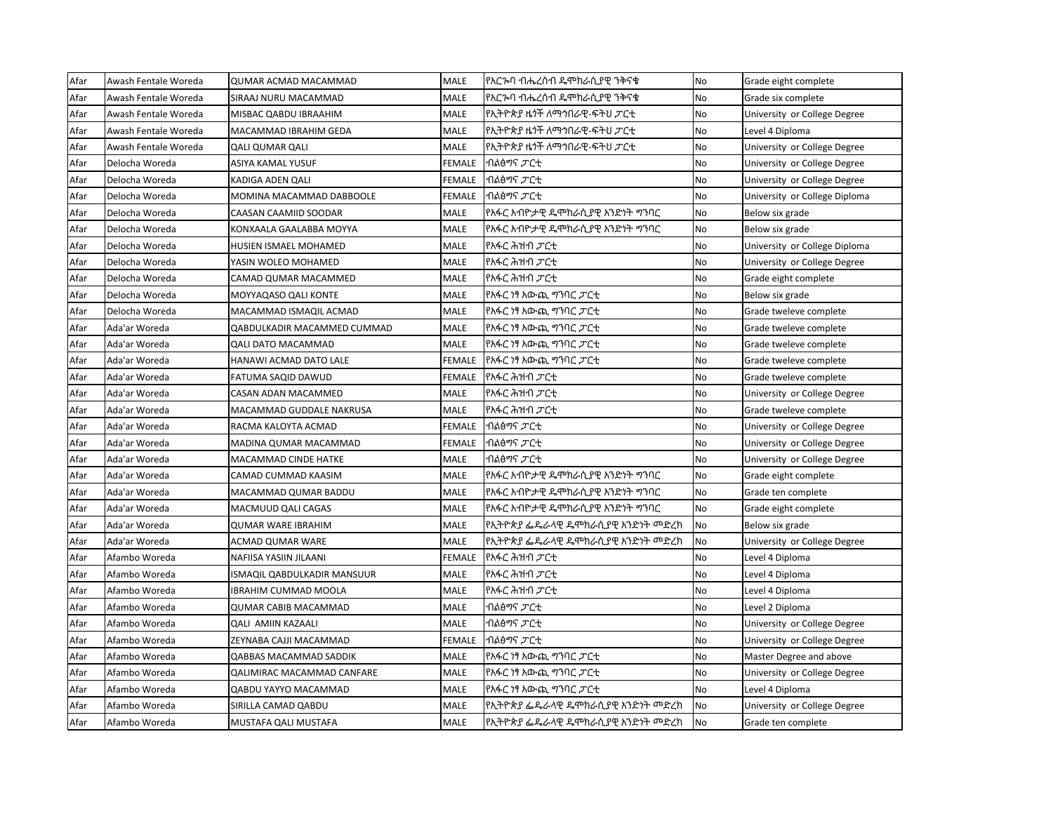| Afar | Awash Fentale Woreda | <b>QUMAR ACMAD MACAMMAD</b>  | MALE          | የአርኈባ ብሔረሰብ ዴሞክራሲያዊ ንቅናቄ                   | No        | Grade eight complete          |
|------|----------------------|------------------------------|---------------|--------------------------------------------|-----------|-------------------------------|
| Afar | Awash Fentale Woreda | SIRAAJ NURU MACAMMAD         | MALE          | የአርኈባ ብሔረሰብ ዴሞክራሲያዊ ንቅናቄ                   | <b>No</b> | Grade six complete            |
| Afar | Awash Fentale Woreda | MISBAC QABDU IBRAAHIM        | MALE          | የኢትዮጵያ ዜጎች ለማኅበራዊ-ፍትህ <i>ፓ</i> ርቲ          | No        | University or College Degree  |
| Afar | Awash Fentale Woreda | MACAMMAD IBRAHIM GEDA        | MALE          | የኢትዮጵያ ዜ <i>ጎ</i> ች ለማኅበራዊ-ፍትህ <i>ፓር</i> ቲ | No        | Level 4 Diploma               |
| Afar | Awash Fentale Woreda | <b>QALI QUMAR QALI</b>       | MALE          | የኢትዮጵያ ዜጎች ለማኅበራዊ-ፍትህ <i>ፓር</i> ቲ          | No        | University or College Degree  |
| Afar | Delocha Woreda       | ASIYA KAMAL YUSUF            | FEMALE        | ብልፅማና <i>ፓ</i> ርቲ                          | <b>No</b> | University or College Degree  |
| Afar | Delocha Woreda       | KADIGA ADEN QALI             | FEMALE        | ብልፅማና <i>ፓ</i> ርቲ                          | No        | University or College Degree  |
| Afar | Delocha Woreda       | MOMINA MACAMMAD DABBOOLE     | FEMALE        | ብልፅማና <i>ፓ</i> ርቲ                          | No        | University or College Diploma |
| Afar | Delocha Woreda       | CAASAN CAAMIID SOODAR        | MALE          | የአፋር አብዮታዊ ዴሞክራሲያዊ አንድነት ማንባር              | No        | Below six grade               |
| Afar | Delocha Woreda       | KONXAALA GAALABBA MOYYA      | MALE          | የአፋር አብዮታዊ ዴሞክራሲያዊ አንድነት ማንባር              | <b>No</b> | Below six grade               |
| Afar | Delocha Woreda       | <b>HUSIEN ISMAEL MOHAMED</b> | MALE          | የአፋር ሕዝብ <i>ፓር</i> ቲ                       | No        | University or College Diploma |
| Afar | Delocha Woreda       | YASIN WOLEO MOHAMED          | MALE          | የአፋር ሕዝብ <i>ፓ</i> ርቲ                       | No        | University or College Degree  |
| Afar | Delocha Woreda       | CAMAD QUMAR MACAMMED         | MALE          | የአፋር ሕዝብ <i>ፓ</i> ርቲ                       | No        | Grade eight complete          |
| Afar | Delocha Woreda       | MOYYAQASO QALI KONTE         | MALE          | የአፋር ነፃ አውጪ ግንባር <i>ፓ</i> ርቲ               | No        | Below six grade               |
| Afar | Delocha Woreda       | MACAMMAD ISMAQIL ACMAD       | MALE          | የአፋር ነፃ አውጪ ማባር ፓርቲ                        | No        | Grade tweleve complete        |
| Afar | Ada'ar Woreda        | QABDULKADIR MACAMMED CUMMAD  | MALE          | lየአፋር ነፃ አውጪ ማንባር <i>ፓ</i> ርቲ              | <b>No</b> | Grade tweleve complete        |
| Afar | Ada'ar Woreda        | QALI DATO MACAMMAD           | MALE          | የአፋር ነፃ አውጪ <i>ግ</i> ንባር <i>ፓ</i> ርቲ       | No        | Grade tweleve complete        |
| Afar | Ada'ar Woreda        | HANAWI ACMAD DATO LALE       | FEMALE        | የአፋር ነፃ አውጪ <i>ግ</i> ንባር <i>ፓ</i> ርቲ       | <b>No</b> | Grade tweleve complete        |
| Afar | Ada'ar Woreda        | FATUMA SAQID DAWUD           | FEMALE        | የአፋር ሕዝብ <i>ፓር</i> ቲ                       | No        | Grade tweleve complete        |
| Afar | Ada'ar Woreda        | CASAN ADAN MACAMMED          | MALE          | የአፋር ሕዝብ <i>ፓ</i> ርቲ                       | <b>No</b> | University or College Degree  |
| Afar | Ada'ar Woreda        | MACAMMAD GUDDALE NAKRUSA     | MALE          | የአፋር ሕዝብ <i>ፓ</i> ርቲ                       | No        | Grade tweleve complete        |
| Afar | Ada'ar Woreda        | RACMA KALOYTA ACMAD          | FEMALE        | ብልፅማና <i>ፓ</i> ርቲ                          | No        | University or College Degree  |
| Afar | Ada'ar Woreda        | MADINA QUMAR MACAMMAD        | FEMALE        | ብልፅማና <i>ፓ</i> ርቲ                          | No        | University or College Degree  |
| Afar | Ada'ar Woreda        | MACAMMAD CINDE HATKE         | MALE          | ብልፅማና <i>ፓ</i> ርቲ                          | <b>No</b> | University or College Degree  |
| Afar | Ada'ar Woreda        | CAMAD CUMMAD KAASIM          | MALE          | የአፋር አብዮታዊ ዴሞክራሲያዊ አንድነት ማንባር              | <b>No</b> | Grade eight complete          |
| Afar | Ada'ar Woreda        | MACAMMAD QUMAR BADDU         | <b>MALE</b>   | የአፋር አብዮታዊ ዴሞክራሲያዊ አንድነት ግንባር              | <b>No</b> | Grade ten complete            |
| Afar | Ada'ar Woreda        | MACMUUD QALI CAGAS           | <b>MALE</b>   | የአፋር አብዮታዊ ዴሞክራሲያዊ አንድነት ግንባር              | <b>No</b> | Grade eight complete          |
| Afar | Ada'ar Woreda        | <b>QUMAR WARE IBRAHIM</b>    | MALE          | የኢትዮጵያ ፌዴራላዊ ዴሞክራሲያዊ አንድነት መድረክ            | No        | Below six grade               |
| Afar | Ada'ar Woreda        | ACMAD QUMAR WARE             | MALE          | የኢትዮጵያ ፌዴራላዊ ዴሞክራሲያዊ አንድነት መድረክ            | No        | University or College Degree  |
| Afar | Afambo Woreda        | NAFIISA YASIIN JILAANI       | <b>FEMALE</b> | የአፋር ሕዝብ <i>ፓ</i> ርቲ                       | No        | Level 4 Diploma               |
| Afar | Afambo Woreda        | ISMAQIL QABDULKADIR MANSUUR  | MALE          | የአፋር ሕዝብ <i>ፓ</i> ርቲ                       | No        | Level 4 Diploma               |
| Afar | Afambo Woreda        | <b>IBRAHIM CUMMAD MOOLA</b>  | MALE          | የአፋር ሕዝብ <i>ፓ</i> ርቲ                       | <b>No</b> | Level 4 Diploma               |
| Afar | Afambo Woreda        | <b>QUMAR CABIB MACAMMAD</b>  | MALE          | ብልፅማና <i>ፓ</i> ርቲ                          | <b>No</b> | Level 2 Diploma               |
| Afar | Afambo Woreda        | <b>QALI AMIIN KAZAALI</b>    | MALE          | ብልፅማና <i>ፓ</i> ርቲ                          | <b>No</b> | University or College Degree  |
| Afar | Afambo Woreda        | ZEYNABA CAJJI MACAMMAD       | FEMALE        | ብልፅማና <i>ፓ</i> ርቲ                          | No        | University or College Degree  |
| Afar | Afambo Woreda        | QABBAS MACAMMAD SADDIK       | MALE          | የአፋር ነፃ አውጪ ግንባር ፓርቲ                       | No        | Master Degree and above       |
| Afar | Afambo Woreda        | QALIMIRAC MACAMMAD CANFARE   | MALE          | የአፋር ነፃ አውጪ ማንባር <i>ፓ</i> ርቲ               | <b>No</b> | University or College Degree  |
| Afar | Afambo Woreda        | QABDU YAYYO MACAMMAD         | MALE          | የአፋር ነፃ አውጪ ማባር ፓርቲ                        | No        | Level 4 Diploma               |
| Afar | Afambo Woreda        | SIRILLA CAMAD QABDU          | MALE          | የኢትዮጵያ ፌዴራላዊ ዴሞክራሲያዊ አንድነት መድረክ            | No        | University or College Degree  |
| Afar | Afambo Woreda        | MUSTAFA QALI MUSTAFA         | MALE          | የኢትዮጵያ ፌዴራላዊ ዴሞክራሲያዊ አንድነት መድረክ            | <b>No</b> | Grade ten complete            |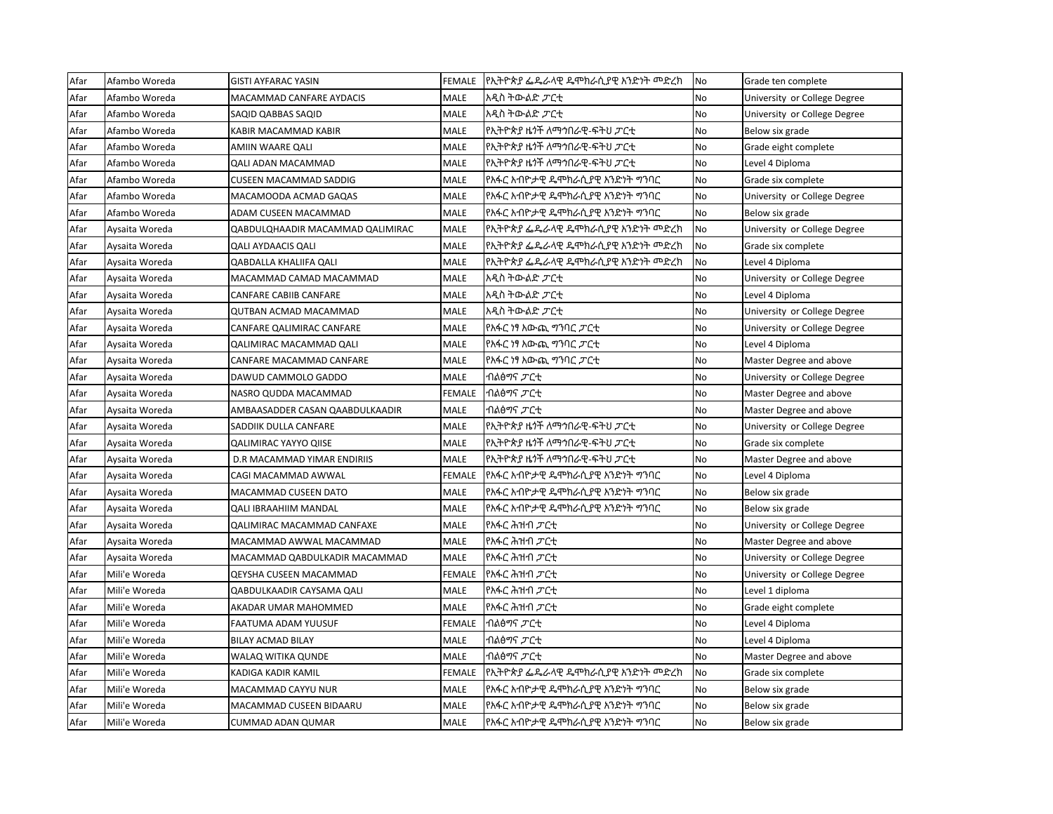| Afar | Afambo Woreda  | <b>GISTI AYFARAC YASIN</b>       | FEMALE        | የኢትዮጵያ ፌዴራላዊ ዴሞክራሲያዊ አንድነት መድረክ            | No | Grade ten complete           |
|------|----------------|----------------------------------|---------------|--------------------------------------------|----|------------------------------|
| Afar | Afambo Woreda  | MACAMMAD CANFARE AYDACIS         | <b>MALE</b>   | አዲስ ትውልድ <i>ፓር</i> ቲ                       | No | University or College Degree |
| Afar | Afambo Woreda  | SAQID QABBAS SAQID               | <b>MALE</b>   | አዲስ ትውልድ <i>ፓር</i> ቲ                       | No | University or College Degree |
| Afar | Afambo Woreda  | KABIR MACAMMAD KABIR             | <b>MALE</b>   | የኢትዮጵያ ዜ <i>ጎ</i> ች ለማኅበራዊ-ፍትህ <i>ፓር</i> ቲ | No | Below six grade              |
| Afar | Afambo Woreda  | AMIIN WAARE QALI                 | <b>MALE</b>   | የኢትዮጵያ ዜጎች ለማኅበራዊ-ፍትህ <i>ፓር</i> ቲ          | No | Grade eight complete         |
| Afar | Afambo Woreda  | <b>QALI ADAN MACAMMAD</b>        | <b>MALE</b>   | የኢትዮጵያ ዜጎች ለማኅበራዊ-ፍትህ <i>ፓር</i> ቲ          | No | Level 4 Diploma              |
| Afar | Afambo Woreda  | <b>CUSEEN MACAMMAD SADDIG</b>    | <b>MALE</b>   | የአፋር አብዮታዊ ዴሞክራሲያዊ አንድነት ማንባር              | No | Grade six complete           |
| Afar | Afambo Woreda  | MACAMOODA ACMAD GAQAS            | MALE          | የአፋር አብዮታዊ ዴሞክራሲያዊ አንድነት ማንባር              | No | University or College Degree |
| Afar | Afambo Woreda  | ADAM CUSEEN MACAMMAD             | <b>MALE</b>   | የአፋር አብዮታዊ ዴሞክራሲያዊ አንድነት ማንባር              | No | Below six grade              |
| Afar | Aysaita Woreda | QABDULQHAADIR MACAMMAD QALIMIRAC | <b>MALE</b>   | የኢትዮጵያ ፌዴራላዊ ዴሞክራሲያዊ አንድነት መድረክ            | No | University or College Degree |
| Afar | Aysaita Woreda | <b>QALI AYDAACIS QALI</b>        | <b>MALE</b>   | የኢትዮጵያ ፌዴራላዊ ዴሞክራሲያዊ አንድነት መድረክ            | No | Grade six complete           |
| Afar | Aysaita Woreda | QABDALLA KHALIIFA QALI           | <b>MALE</b>   | የኢትዮጵያ ፌዴራላዊ ዴሞክራሲያዊ አንድነት መድረክ            | No | Level 4 Diploma              |
| Afar | Aysaita Woreda | MACAMMAD CAMAD MACAMMAD          | <b>MALE</b>   | አዲስ ትውልድ <i>ፓር</i> ቲ                       | No | University or College Degree |
| Afar | Aysaita Woreda | CANFARE CABIIB CANFARE           | <b>MALE</b>   | አዲስ ትውልድ <i>ፓር</i> ቲ                       | No | Level 4 Diploma              |
| Afar | Aysaita Woreda | QUTBAN ACMAD MACAMMAD            | <b>MALE</b>   | አዲስ ትውልድ <i>ፓር</i> ቲ                       | No | University or College Degree |
| Afar | Aysaita Woreda | CANFARE QALIMIRAC CANFARE        | MALE          | የአፋር ነፃ አውጪ ማንባር <i>ፓ</i> ርቲ               | No | University or College Degree |
| Afar | Aysaita Woreda | QALIMIRAC MACAMMAD QALI          | MALE          | የአፋር ነፃ አውጪ ማንባር <i>ፓ</i> ርቲ               | No | Level 4 Diploma              |
| Afar | Aysaita Woreda | CANFARE MACAMMAD CANFARE         | MALE          | የአፋር ነፃ አውጪ ማንባር <i>ፓ</i> ርቲ               | No | Master Degree and above      |
| Afar | Aysaita Woreda | DAWUD CAMMOLO GADDO              | <b>MALE</b>   | ብልፅማና <i>ፓ</i> ርቲ                          | No | University or College Degree |
| Afar | Aysaita Woreda | NASRO QUDDA MACAMMAD             | FEMALE        | ብልፅማና <i>ፓ</i> ርቲ                          | No | Master Degree and above      |
| Afar | Aysaita Woreda | AMBAASADDER CASAN QAABDULKAADIR  | MALE          | ብልፅማና <i>ፓ</i> ርቲ                          | No | Master Degree and above      |
| Afar | Aysaita Woreda | SADDIIK DULLA CANFARE            | <b>MALE</b>   | የኢትዮጵያ ዜጎች ለማኅበራዊ-ፍትህ <i>ፓር</i> ቲ          | No | University or College Degree |
| Afar | Aysaita Woreda | <b>QALIMIRAC YAYYO QIISE</b>     | <b>MALE</b>   | የኢትዮጵያ ዜጎች ለማኅበራዊ-ፍትህ <i>ፓር</i> ቲ          | No | Grade six complete           |
| Afar | Aysaita Woreda | D.R MACAMMAD YIMAR ENDIRIIS      | MALE          | የኢትዮጵያ ዜ <i>ጎ</i> ች ለማኅበራዊ-ፍትህ <i>ፓር</i> ቲ | No | Master Degree and above      |
| Afar | Aysaita Woreda | CAGI MACAMMAD AWWAL              | FEMALE        | የአፋር አብዮታዊ ዴሞክራሲያዊ አንድነት ግንባር              | No | Level 4 Diploma              |
| Afar | Aysaita Woreda | MACAMMAD CUSEEN DATO             | <b>MALE</b>   | የአፋር አብዮታዊ ዴሞክራሲያዊ አንድነት ማንባር              | No | Below six grade              |
| Afar | Aysaita Woreda | <b>QALI IBRAAHIIM MANDAL</b>     | <b>MALE</b>   | የአፋር አብዮታዊ ዴሞክራሲያዊ አንድነት ግንባር              | No | Below six grade              |
| Afar | Aysaita Woreda | QALIMIRAC MACAMMAD CANFAXE       | <b>MALE</b>   | የአፋር ሕዝብ <i>ፓ</i> ርቲ                       | No | University or College Degree |
| Afar | Aysaita Woreda | MACAMMAD AWWAL MACAMMAD          | <b>MALE</b>   | የአፋር ሕዝብ <i>ፓ</i> ርቲ                       | No | Master Degree and above      |
| Afar | Aysaita Woreda | MACAMMAD QABDULKADIR MACAMMAD    | MALE          | የአፋር ሕዝብ <i>ፓ</i> ርቲ                       | No | University or College Degree |
| Afar | Mili'e Woreda  | QEYSHA CUSEEN MACAMMAD           | <b>FEMALE</b> | የአፋር ሕዝብ <i>ፓ</i> ርቲ                       | No | University or College Degree |
| Afar | Mili'e Woreda  | QABDULKAADIR CAYSAMA QALI        | MALE          | የአፋር ሕዝብ <i>ፓ</i> ርቲ                       | No | Level 1 diploma              |
| Afar | Mili'e Woreda  | AKADAR UMAR MAHOMMED             | MALE          | የአፋር ሕዝብ <i>ፓ</i> ርቲ                       | No | Grade eight complete         |
| Afar | Mili'e Woreda  | FAATUMA ADAM YUUSUF              | FEMALE        | ብልፅማና ፓርቲ                                  | No | Level 4 Diploma              |
| Afar | Mili'e Woreda  | <b>BILAY ACMAD BILAY</b>         | <b>MALE</b>   | ብልፅማና <i>ፓ</i> ርቲ                          | No | Level 4 Diploma              |
| Afar | Mili'e Woreda  | WALAQ WITIKA QUNDE               | <b>MALE</b>   | ብልፅማና <i>ፓ</i> ርቲ                          | No | Master Degree and above      |
| Afar | Mili'e Woreda  | KADIGA KADIR KAMIL               | FEMALE        | የኢትዮጵያ ፌዴራላዊ ዴሞክራሲያዊ አንድነት መድረክ            | No | Grade six complete           |
| Afar | Mili'e Woreda  | MACAMMAD CAYYU NUR               | MALE          | የአፋር አብዮታዊ ዴሞክራሲያዊ አንድነት ማንባር              | No | Below six grade              |
| Afar | Mili'e Woreda  | MACAMMAD CUSEEN BIDAARU          | MALE          | የአፋር አብዮታዊ ዴሞክራሲያዊ አንድነት ማንባር              | No | Below six grade              |
| Afar | Mili'e Woreda  | <b>CUMMAD ADAN QUMAR</b>         | <b>MALE</b>   | የአፋር አብዮታዊ ዴሞክራሲያዊ አንድነት ግንባር              | No | Below six grade              |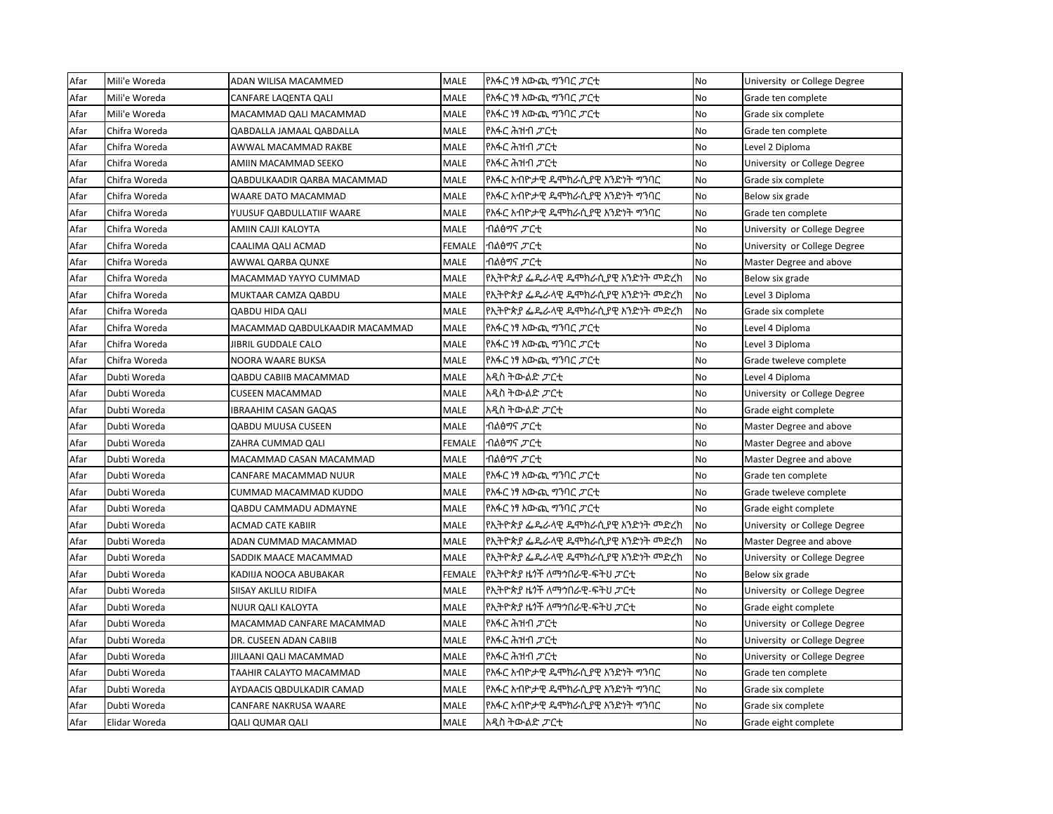| Afar | Mili'e Woreda | ADAN WILISA MACAMMED           | <b>MALE</b>   | የአፋር ነፃ አውጪ ማንባር <i>ፓ</i> ርቲ      | <b>No</b> | University or College Degree |
|------|---------------|--------------------------------|---------------|-----------------------------------|-----------|------------------------------|
| Afar | Mili'e Woreda | CANFARE LAQENTA QALI           | <b>MALE</b>   | የአፋር ነፃ አውጪ ግንባር ፓርቲ              | <b>No</b> | Grade ten complete           |
| Afar | Mili'e Woreda | MACAMMAD QALI MACAMMAD         | <b>MALE</b>   | የአፋር ነፃ አውጪ ማንባር <i>ፓ</i> ርቲ      | No        | Grade six complete           |
| Afar | Chifra Woreda | QABDALLA JAMAAL QABDALLA       | MALE          | የአፋር ሕዝብ <i>ፓ</i> ርቲ              | <b>No</b> | Grade ten complete           |
| Afar | Chifra Woreda | AWWAL MACAMMAD RAKBE           | MALE          | የአፋር ሕዝብ <i>ፓ</i> ርቲ              | <b>No</b> | Level 2 Diploma              |
| Afar | Chifra Woreda | AMIIN MACAMMAD SEEKO           | <b>MALE</b>   | የአፋር ሕዝብ <i>ፓ</i> ርቲ              | <b>No</b> | University or College Degree |
| Afar | Chifra Woreda | QABDULKAADIR QARBA MACAMMAD    | <b>MALE</b>   | የአፋር አብዮታዊ ዴሞክራሲያዊ አንድነት ግንባር     | No        | Grade six complete           |
| Afar | Chifra Woreda | WAARE DATO MACAMMAD            | MALE          | የአፋር አብዮታዊ ዴሞክራሲያዊ አንድነት ማንባር     | No        | Below six grade              |
| Afar | Chifra Woreda | YUUSUF QABDULLATIIF WAARE      | MALE          | የአፋር አብዮታዊ ዴሞክራሲያዊ አንድነት ማንባር     | No        | Grade ten complete           |
| Afar | Chifra Woreda | AMIIN CAJJI KALOYTA            | <b>MALE</b>   | ብልፅማና <i>ፓ</i> ርቲ                 | <b>No</b> | University or College Degree |
| Afar | Chifra Woreda | CAALIMA QALI ACMAD             | <b>FEMALE</b> | ብልፅግና <i>ፓ</i> ርቲ                 | No        | University or College Degree |
| Afar | Chifra Woreda | AWWAL QARBA QUNXE              | MALE          | ብልፅማና <i>ፓ</i> ርቲ                 | No        | Master Degree and above      |
| Afar | Chifra Woreda | MACAMMAD YAYYO CUMMAD          | <b>MALE</b>   | የኢትዮጵያ ፌዴራላዊ ዴሞክራሲያዊ አንድነት መድረክ   | No        | Below six grade              |
| Afar | Chifra Woreda | MUKTAAR CAMZA QABDU            | <b>MALE</b>   | የኢትዮጵያ ፌዴራላዊ ዴሞክራሲያዊ አንድነት መድረክ   | No        | Level 3 Diploma              |
| Afar | Chifra Woreda | <b>QABDU HIDA QALI</b>         | <b>MALE</b>   | የኢትዮጵያ ፌዴራላዊ ዴሞክራሲያዊ አንድነት መድረክ   | No        | Grade six complete           |
| Afar | Chifra Woreda | MACAMMAD QABDULKAADIR MACAMMAD | MALE          | የአፋር ነፃ አውጪ ማንባር <i>ፓ</i> ርቲ      | No        | Level 4 Diploma              |
| Afar | Chifra Woreda | JIBRIL GUDDALE CALO            | MALE          | የአፋር ነፃ አውጪ ማንባር <i>ፓ</i> ርቲ      | <b>No</b> | Level 3 Diploma              |
| Afar | Chifra Woreda | NOORA WAARE BUKSA              | <b>MALE</b>   | የአፋር ነፃ አውጪ ማባር ፓርቲ               | <b>No</b> | Grade tweleve complete       |
| Afar | Dubti Woreda  | QABDU CABIIB MACAMMAD          | <b>MALE</b>   | አዲስ ትውልድ <i>ፓ</i> ርቲ              | No        | Level 4 Diploma              |
| Afar | Dubti Woreda  | <b>CUSEEN MACAMMAD</b>         | <b>MALE</b>   | አዲስ ትውልድ <i>ፓር</i> ቲ              | <b>No</b> | University or College Degree |
| Afar | Dubti Woreda  | <b>IBRAAHIM CASAN GAQAS</b>    | <b>MALE</b>   | አዲስ ትውልድ <i>ፓ</i> ርቲ              | <b>No</b> | Grade eight complete         |
| Afar | Dubti Woreda  | <b>QABDU MUUSA CUSEEN</b>      | <b>MALE</b>   | ብልፅማና <i>ፓ</i> ርቲ                 | <b>No</b> | Master Degree and above      |
| Afar | Dubti Woreda  | ZAHRA CUMMAD QALI              | FEMALE        | ብልፅማና <i>ፓ</i> ርቲ                 | No        | Master Degree and above      |
| Afar | Dubti Woreda  | MACAMMAD CASAN MACAMMAD        | MALE          | ብልፅማና <i>ፓ</i> ርቲ                 | No        | Master Degree and above      |
| Afar | Dubti Woreda  | CANFARE MACAMMAD NUUR          | MALE          | የአፋር ነፃ አውጪ ማባር ፓርቲ               | <b>No</b> | Grade ten complete           |
| Afar | Dubti Woreda  | CUMMAD MACAMMAD KUDDO          | <b>MALE</b>   | የአፋር ነፃ አውጪ ማባር ፓርቲ               | <b>No</b> | Grade tweleve complete       |
| Afar | Dubti Woreda  | QABDU CAMMADU ADMAYNE          | MALE          | የአፋር ነፃ አውጪ ማባር ፓርቲ               | <b>No</b> | Grade eight complete         |
| Afar | Dubti Woreda  | <b>ACMAD CATE KABIIR</b>       | <b>MALE</b>   | የኢትዮጵያ ፌዴራላዊ ዴሞክራሲያዊ አንድነት መድረክ   | No        | University or College Degree |
| Afar | Dubti Woreda  | ADAN CUMMAD MACAMMAD           | <b>MALE</b>   | የኢትዮጵያ ፌዴራላዊ ዴሞክራሲያዊ አንድነት መድረክ   | No        | Master Degree and above      |
| Afar | Dubti Woreda  | SADDIK MAACE MACAMMAD          | <b>MALE</b>   | የኢትዮጵያ ፌዴራላዊ ዴሞክራሲያዊ አንድነት መድረክ   | No        | University or College Degree |
| Afar | Dubti Woreda  | KADIIJA NOOCA ABUBAKAR         | FEMALE        | የኢትዮጵያ ዜጎች ለማኅበራዊ-ፍትህ <i>ፓ</i> ርቲ | No        | Below six grade              |
| Afar | Dubti Woreda  | SIISAY AKLILU RIDIFA           | MALE          | የኢትዮጵያ ዜጎች ለማኅበራዊ-ፍትህ <i>ፓር</i> ቲ | No        | University or College Degree |
| Afar | Dubti Woreda  | NUUR QALI KALOYTA              | MALE          | የኢትዮጵያ ዜጎች ለማኅበራዊ-ፍትህ <i>ፓ</i> ርቲ | No        | Grade eight complete         |
| Afar | Dubti Woreda  | MACAMMAD CANFARE MACAMMAD      | <b>MALE</b>   | የአፋር ሕዝብ <i>ፓ</i> ርቲ              | <b>No</b> | University or College Degree |
| Afar | Dubti Woreda  | DR. CUSEEN ADAN CABIIB         | MALE          | የአፋር ሕዝብ <i>ፓ</i> ርቲ              | No        | University or College Degree |
| Afar | Dubti Woreda  | JIILAANI QALI MACAMMAD         | <b>MALE</b>   | የአፋር ሕዝብ <i>ፓ</i> ርቲ              | No        | University or College Degree |
| Afar | Dubti Woreda  | TAAHIR CALAYTO MACAMMAD        | MALE          | የአፋር አብዮታዊ ዴሞክራሲያዊ አንድነት ማንባር     | <b>No</b> | Grade ten complete           |
| Afar | Dubti Woreda  | AYDAACIS QBDULKADIR CAMAD      | <b>MALE</b>   | የአፋር አብዮታዊ ዴሞክራሲያዊ አንድነት ማንባር     | No        | Grade six complete           |
| Afar | Dubti Woreda  | CANFARE NAKRUSA WAARE          | MALE          | የአፋር አብዮታዊ ዴሞክራሲያዊ አንድነት ግንባር     | No        | Grade six complete           |
| Afar | Elidar Woreda | <b>QALI QUMAR QALI</b>         | <b>MALE</b>   | አዲስ ትውልድ <i>ፓር</i> ቲ              | <b>No</b> | Grade eight complete         |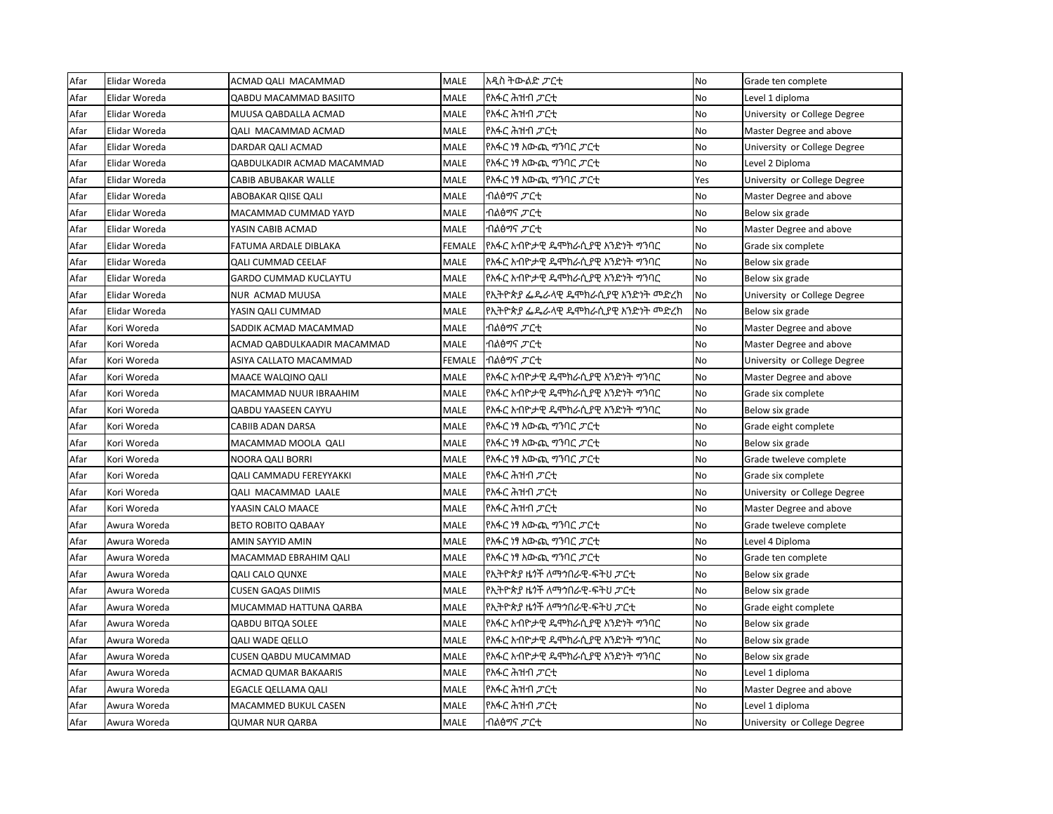| Afar | Elidar Woreda | ACMAD QALI MACAMMAD           | <b>MALE</b> | አዲስ ትውልድ <i>ፓ</i> ርቲ              | <b>No</b> | Grade ten complete           |
|------|---------------|-------------------------------|-------------|-----------------------------------|-----------|------------------------------|
| Afar | Elidar Woreda | <b>QABDU MACAMMAD BASIITO</b> | MALE        | የአፋር ሕዝብ <i>ፓ</i> ርቲ              | <b>No</b> | Level 1 diploma              |
| Afar | Elidar Woreda | MUUSA QABDALLA ACMAD          | <b>MALE</b> | የአፋር ሕዝብ <i>ፓ</i> ርቲ              | No        | University or College Degree |
| Afar | Elidar Woreda | QALI MACAMMAD ACMAD           | MALE        | የአፋር ሕዝብ <i>ፓ</i> ርቲ              | No        | Master Degree and above      |
| Afar | Elidar Woreda | DARDAR QALI ACMAD             | MALE        | የአፋር ነፃ አውጪ ማንባር <i>ፓ</i> ርቲ      | No        | University or College Degree |
| Afar | Elidar Woreda | QABDULKADIR ACMAD MACAMMAD    | MALE        | የአፋር ነፃ አውጪ ማባር <i>ፓ</i> ርቲ       | <b>No</b> | Level 2 Diploma              |
| Afar | Elidar Woreda | CABIB ABUBAKAR WALLE          | <b>MALE</b> | የአፋር ነፃ አውጪ ማንባር <i>ፓ</i> ርቲ      | Yes       | University or College Degree |
| Afar | Elidar Woreda | ABOBAKAR QIISE QALI           | MALE        | ብልፅማና <i>ፓ</i> ርቲ                 | No        | Master Degree and above      |
| Afar | Elidar Woreda | MACAMMAD CUMMAD YAYD          | MALE        | ብልፅማና <i>ፓ</i> ርቲ                 | No        | Below six grade              |
| Afar | Elidar Woreda | YASIN CABIB ACMAD             | <b>MALE</b> | ብልፅማና <i>ፓ</i> ርቲ                 | <b>No</b> | Master Degree and above      |
| Afar | Elidar Woreda | FATUMA ARDALE DIBLAKA         | FEMALE      | የአፋር አብዮታዊ ዴሞክራሲያዊ አንድነት ግንባር     | No        | Grade six complete           |
| Afar | Elidar Woreda | <b>QALI CUMMAD CEELAF</b>     | <b>MALE</b> | የአፋር አብዮታዊ ዴሞክራሲያዊ አንድነት ግንባር     | <b>No</b> | Below six grade              |
| Afar | Elidar Woreda | <b>GARDO CUMMAD KUCLAYTU</b>  | <b>MALE</b> | የአፋር አብዮታዊ ዴሞክራሲያዊ አንድነት ግንባር     | No        | Below six grade              |
| Afar | Elidar Woreda | NUR ACMAD MUUSA               | <b>MALE</b> | የኢትዮጵያ ፌዴራላዊ ዴሞክራሲያዊ አንድነት መድረክ   | No        | University or College Degree |
| Afar | Elidar Woreda | YASIN QALI CUMMAD             | <b>MALE</b> | የኢትዮጵያ ፌዴራላዊ ዴሞክራሲያዊ አንድነት መድረክ   | No        | Below six grade              |
| Afar | Kori Woreda   | SADDIK ACMAD MACAMMAD         | MALE        | ብልፅማና <i>ፓ</i> ርቲ                 | <b>No</b> | Master Degree and above      |
| Afar | Kori Woreda   | ACMAD QABDULKAADIR MACAMMAD   | MALE        | ብልፅማና <i>ፓ</i> ርቲ                 | No        | Master Degree and above      |
| Afar | Kori Woreda   | ASIYA CALLATO MACAMMAD        | FEMALE      | ብልፅማና <i>ፓ</i> ርቲ                 | <b>No</b> | University or College Degree |
| Afar | Kori Woreda   | MAACE WALQINO QALI            | <b>MALE</b> | የአፋር አብዮታዊ ዴሞክራሲያዊ አንድነት ማንባር     | No        | Master Degree and above      |
| Afar | Kori Woreda   | MACAMMAD NUUR IBRAAHIM        | <b>MALE</b> | የአፋር አብዮታዊ ዴሞክራሲያዊ አንድነት ማንባር     | No        | Grade six complete           |
| Afar | Kori Woreda   | <b>QABDU YAASEEN CAYYU</b>    | MALE        | የአፋር አብዮታዊ ዴሞክራሲያዊ አንድነት ማንባር     | <b>No</b> | Below six grade              |
| Afar | Kori Woreda   | CABIIB ADAN DARSA             | <b>MALE</b> | የአፋር ነፃ አውጪ ማንባር <i>ፓ</i> ርቲ      | <b>No</b> | Grade eight complete         |
| Afar | Kori Woreda   | MACAMMAD MOOLA QALI           | MALE        | የአፋር ነፃ አውጪ ማንባር <i>ፓ</i> ርቲ      | No        | Below six grade              |
| Afar | Kori Woreda   | NOORA QALI BORRI              | MALE        | የአፋር ነፃ አውጪ ማንባር <i>ፓ</i> ርቲ      | No        | Grade tweleve complete       |
| Afar | Kori Woreda   | QALI CAMMADU FEREYYAKKI       | MALE        | የአፋር ሕዝብ <i>ፓ</i> ርቲ              | No        | Grade six complete           |
| Afar | Kori Woreda   | <b>QALI MACAMMAD LAALE</b>    | MALE        | የአፋር ሕዝብ <i>ፓ</i> ርቲ              | No        | University or College Degree |
| Afar | Kori Woreda   | YAASIN CALO MAACE             | <b>MALE</b> | የአፋር ሕዝብ <i>ፓ</i> ርቲ              | No        | Master Degree and above      |
| Afar | Awura Woreda  | <b>BETO ROBITO QABAAY</b>     | <b>MALE</b> | የአፋር ነፃ አውጪ ማባር ፓርቲ               | No        | Grade tweleve complete       |
| Afar | Awura Woreda  | AMIN SAYYID AMIN              | <b>MALE</b> | የአፋር ነፃ አውጪ ማንባር <i>ፓ</i> ርቲ      | No        | Level 4 Diploma              |
| Afar | Awura Woreda  | MACAMMAD EBRAHIM QALI         | <b>MALE</b> | የአፋር ነፃ አውጪ ማንባር <i>ፓ</i> ርቲ      | <b>No</b> | Grade ten complete           |
| Afar | Awura Woreda  | <b>QALI CALO QUNXE</b>        | <b>MALE</b> | የኢትዮጵያ ዜጎች ለማኅበራዊ-ፍትህ <i>ፓር</i> ቲ | No        | Below six grade              |
| Afar | Awura Woreda  | <b>CUSEN GAQAS DIIMIS</b>     | <b>MALE</b> | የኢትዮጵያ ዜጎች ለማኅበራዊ-ፍትህ <i>ፓር</i> ቲ | <b>No</b> | Below six grade              |
| Afar | Awura Woreda  | MUCAMMAD HATTUNA QARBA        | MALE        | የኢትዮጵያ ዜጎች ለማኅበራዊ-ፍትህ <i>ፓር</i> ቲ | No        | Grade eight complete         |
| Afar | Awura Woreda  | QABDU BITQA SOLEE             | <b>MALE</b> | የአፋር አብዮታዊ ዴሞክራሲያዊ አንድነት ግንባር     | <b>No</b> | Below six grade              |
| Afar | Awura Woreda  | <b>QALI WADE QELLO</b>        | <b>MALE</b> | የአፋር አብዮታዊ ዴሞክራሲያዊ አንድነት ግንባር     | No        | Below six grade              |
| Afar | Awura Woreda  | <b>CUSEN QABDU MUCAMMAD</b>   | <b>MALE</b> | የአፋር አብዮታዊ ዴሞክራሲያዊ አንድነት ግንባር     | No        | Below six grade              |
| Afar | Awura Woreda  | <b>ACMAD QUMAR BAKAARIS</b>   | MALE        | የአፋር ሕዝብ <i>ፓ</i> ርቲ              | No        | Level 1 diploma              |
| Afar | Awura Woreda  | EGACLE QELLAMA QALI           | MALE        | የአፋር ሕዝብ <i>ፓ</i> ርቲ              | No        | Master Degree and above      |
| Afar | Awura Woreda  | MACAMMED BUKUL CASEN          | <b>MALE</b> | የአፋር ሕዝብ <i>ፓ</i> ርቲ              | No        | Level 1 diploma              |
| Afar | Awura Woreda  | QUMAR NUR QARBA               | <b>MALE</b> | ብልፅማና <i>ፓ</i> ርቲ                 | <b>No</b> | University or College Degree |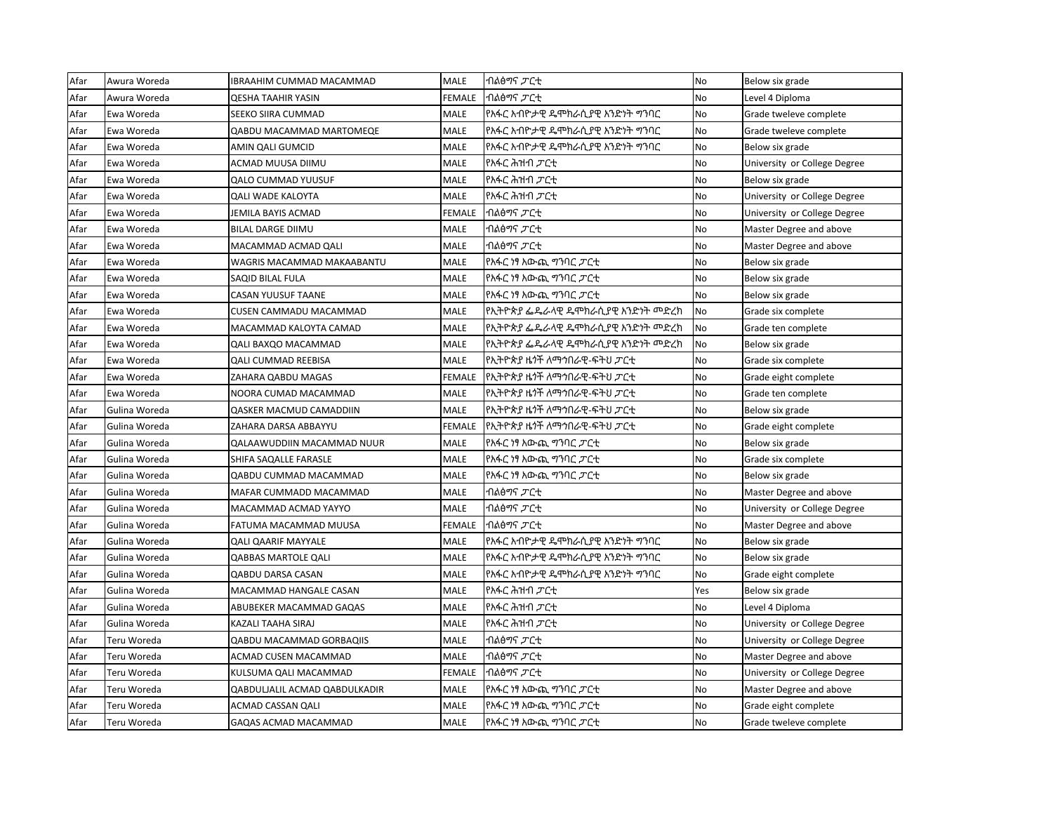| Afar | Awura Woreda  | IBRAAHIM CUMMAD MACAMMAD        | <b>MALE</b>   | ብልፅማና <i>ፓ</i> ርቲ                          | <b>No</b> | Below six grade              |
|------|---------------|---------------------------------|---------------|--------------------------------------------|-----------|------------------------------|
| Afar | Awura Woreda  | <b>QESHA TAAHIR YASIN</b>       | <b>FEMALE</b> | ብልፅማና <i>ፓ</i> ርቲ                          | <b>No</b> | Level 4 Diploma              |
| Afar | Ewa Woreda    | SEEKO SIIRA CUMMAD              | <b>MALE</b>   | የአፋር አብዮታዊ ዴሞክራሲያዊ አንድነት ማንባር              | No        | Grade tweleve complete       |
| Afar | Ewa Woreda    | QABDU MACAMMAD MARTOMEQE        | <b>MALE</b>   | የአፋር አብዮታዊ ዴሞክራሲያዊ አንድነት ግንባር              | No        | Grade tweleve complete       |
| Afar | Ewa Woreda    | AMIN QALI GUMCID                | <b>MALE</b>   | የአፋር አብዮታዊ ዴሞክራሲያዊ አንድነት ግንባር              | No        | Below six grade              |
| Afar | Ewa Woreda    | ACMAD MUUSA DIIMU               | <b>MALE</b>   | የአፋር ሕዝብ <i>ፓ</i> ርቲ                       | No        | University or College Degree |
| Afar | Ewa Woreda    | <b>QALO CUMMAD YUUSUF</b>       | <b>MALE</b>   | የአፋር ሕዝብ <i>ፓ</i> ርቲ                       | <b>No</b> | Below six grade              |
| Afar | Ewa Woreda    | <b>QALI WADE KALOYTA</b>        | <b>MALE</b>   | የአፋር ሕዝብ <i>ፓ</i> ርቲ                       | No        | University or College Degree |
| Afar | Ewa Woreda    | JEMILA BAYIS ACMAD              | FEMALE        | ብልፅማና <i>ፓ</i> ርቲ                          | No        | University or College Degree |
| Afar | Ewa Woreda    | <b>BILAL DARGE DIIMU</b>        | <b>MALE</b>   | ብልፅማና <i>ፓ</i> ርቲ                          | No        | Master Degree and above      |
| Afar | Ewa Woreda    | MACAMMAD ACMAD QALI             | <b>MALE</b>   | ብልፅማና <i>ፓ</i> ርቲ                          | No        | Master Degree and above      |
| Afar | Ewa Woreda    | WAGRIS MACAMMAD MAKAABANTU      | <b>MALE</b>   | የአፋር ነፃ አውጪ ማባር ፓርቲ                        | No        | Below six grade              |
| Afar | Ewa Woreda    | SAQID BILAL FULA                | <b>MALE</b>   | የአፋር ነፃ አውጪ ግንባር <i>ፓ</i> ርቲ               | No        | Below six grade              |
| Afar | Ewa Woreda    | CASAN YUUSUF TAANE              | <b>MALE</b>   | የአፋር ነፃ አውጪ ግንባር <i>ፓ</i> ርቲ               | No        | Below six grade              |
| Afar | Ewa Woreda    | CUSEN CAMMADU MACAMMAD          | <b>MALE</b>   | የኢትዮጵያ ፌዴራላዊ ዴሞክራሲያዊ አንድነት መድረክ            | No        | Grade six complete           |
| Afar | Ewa Woreda    | MACAMMAD KALOYTA CAMAD          | <b>MALE</b>   | የኢትዮጵያ ፌዴራላዊ ዴሞክራሲያዊ አንድነት መድረክ            | No        | Grade ten complete           |
| Afar | Ewa Woreda    | QALI BAXQO MACAMMAD             | <b>MALE</b>   | የኢትዮጵያ ፌዴራላዊ ዴሞክራሲያዊ አንድነት መድረክ            | No        | Below six grade              |
| Afar | Ewa Woreda    | <b>QALI CUMMAD REEBISA</b>      | <b>MALE</b>   | የኢትዮጵያ ዜ <i>ጎ</i> ች ለማኅበራዊ-ፍትህ <i>ፓር</i> ቲ | No        | Grade six complete           |
| Afar | Ewa Woreda    | ZAHARA QABDU MAGAS              | <b>FEMALE</b> | የኢትዮጵያ ዜጎች ለማኅበራዊ-ፍትህ <i>ፓ</i> ርቲ          | No        | Grade eight complete         |
| Afar | Ewa Woreda    | NOORA CUMAD MACAMMAD            | <b>MALE</b>   | የኢትዮጵያ ዜጎች ለማኅበራዊ-ፍትህ <i>ፓ</i> ርቲ          | <b>No</b> | Grade ten complete           |
| Afar | Gulina Woreda | <b>QASKER MACMUD CAMADDIIN</b>  | <b>MALE</b>   | የኢትዮጵያ ዜጎች ለማኅበራዊ-ፍትህ <i>ፓ</i> ርቲ          | No        | Below six grade              |
| Afar | Gulina Woreda | ZAHARA DARSA ABBAYYU            | <b>FEMALE</b> | የኢትዮጵያ ዜጎች ለማኅበራዊ-ፍትህ <i>ፓር</i> ቲ          | No        | Grade eight complete         |
| Afar | Gulina Woreda | QALAAWUDDIIN MACAMMAD NUUR      | <b>MALE</b>   | የአፋር ነፃ አውጪ ማባር ፓርቲ                        | No        | Below six grade              |
| Afar | Gulina Woreda | SHIFA SAQALLE FARASLE           | <b>MALE</b>   | የአፋር ነፃ አውጪ ግንባር ፓርቲ                       | No        | Grade six complete           |
| Afar | Gulina Woreda | QABDU CUMMAD MACAMMAD           | <b>MALE</b>   | የአፋር ነፃ አውጪ ግንባር ፓርቲ                       | No        | Below six grade              |
| Afar | Gulina Woreda | MAFAR CUMMADD MACAMMAD          | <b>MALE</b>   | ብልፅማና <i>ፓ</i> ርቲ                          | No        | Master Degree and above      |
| Afar | Gulina Woreda | MACAMMAD ACMAD YAYYO            | <b>MALE</b>   | ብልፅማና <i>ፓ</i> ርቲ                          | <b>No</b> | University or College Degree |
| Afar | Gulina Woreda | FATUMA MACAMMAD MUUSA           | <b>FEMALE</b> | ብልፅማና <i>ፓ</i> ርቲ                          | No        | Master Degree and above      |
| Afar | Gulina Woreda | <b>QALI QAARIF MAYYALE</b>      | <b>MALE</b>   | የአፋር አብዮታዊ ዴሞክራሲያዊ አንድነት ማንባር              | No        | Below six grade              |
| Afar | Gulina Woreda | <b>QABBAS MARTOLE QALI</b>      | <b>MALE</b>   | የአፋር አብዮታዊ ዴሞክራሲያዊ አንድነት ግንባር              | No        | Below six grade              |
| Afar | Gulina Woreda | <b>QABDU DARSA CASAN</b>        | <b>MALE</b>   | የአፋር አብዮታዊ ዴሞክራሲያዊ አንድነት ግንባር              | No        | Grade eight complete         |
| Afar | Gulina Woreda | MACAMMAD HANGALE CASAN          | <b>MALE</b>   | የአፋር ሕዝብ <i>ፓ</i> ርቲ                       | Yes       | Below six grade              |
| Afar | Gulina Woreda | ABUBEKER MACAMMAD GAQAS         | <b>MALE</b>   | የአፋር ሕዝብ <i>ፓ</i> ርቲ                       | No        | Level 4 Diploma              |
| Afar | Gulina Woreda | KAZALI TAAHA SIRAJ              | <b>MALE</b>   | የአፋር ሕዝብ <i>ፓ</i> ርቲ                       | No        | University or College Degree |
| Afar | Teru Woreda   | <b>QABDU MACAMMAD GORBAQIIS</b> | <b>MALE</b>   | ብልፅማና <i>ፓ</i> ርቲ                          | No        | University or College Degree |
| Afar | Teru Woreda   | ACMAD CUSEN MACAMMAD            | <b>MALE</b>   | ብልፅማና <i>ፓ</i> ርቲ                          | No        | Master Degree and above      |
| Afar | Teru Woreda   | KULSUMA QALI MACAMMAD           | FEMALE        | ብልፅማና <i>ፓ</i> ርቲ                          | No        | University or College Degree |
| Afar | Teru Woreda   | QABDULJALIL ACMAD QABDULKADIR   | <b>MALE</b>   | የአፋር ነፃ አውጪ ማንባር <i>ፓ</i> ርቲ               | No        | Master Degree and above      |
| Afar | Teru Woreda   | ACMAD CASSAN QALI               | <b>MALE</b>   | የአፋር ነፃ አውጪ ማንባር <i>ፓ</i> ርቲ               | No        | Grade eight complete         |
| Afar | Teru Woreda   | GAQAS ACMAD MACAMMAD            | <b>MALE</b>   | የአፋር ነፃ አውጪ ግንባር ፓርቲ                       | <b>No</b> | Grade tweleve complete       |